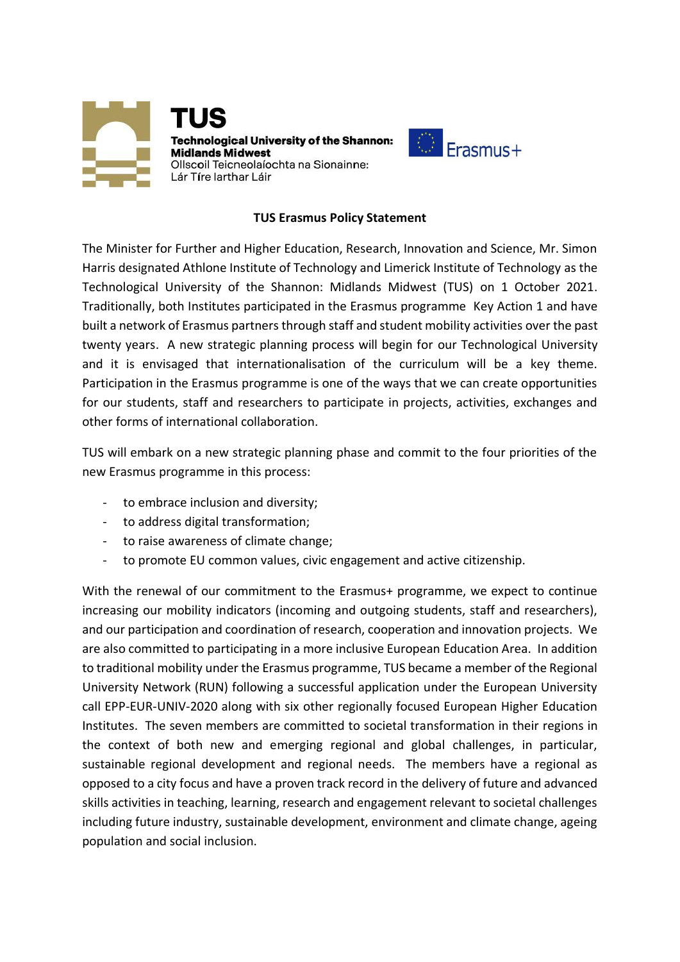



## **TUS Erasmus Policy Statement**

The Minister for Further and Higher Education, Research, Innovation and Science, Mr. Simon Harris designated Athlone Institute of Technology and Limerick Institute of Technology as the Technological University of the Shannon: Midlands Midwest (TUS) on 1 October 2021. Traditionally, both Institutes participated in the Erasmus programme Key Action 1 and have built a network of Erasmus partners through staff and student mobility activities over the past twenty years. A new strategic planning process will begin for our Technological University and it is envisaged that internationalisation of the curriculum will be a key theme. Participation in the Erasmus programme is one of the ways that we can create opportunities for our students, staff and researchers to participate in projects, activities, exchanges and other forms of international collaboration.

TUS will embark on a new strategic planning phase and commit to the four priorities of the new Erasmus programme in this process:

- to embrace inclusion and diversity;
- to address digital transformation;
- to raise awareness of climate change;
- to promote EU common values, civic engagement and active citizenship.

With the renewal of our commitment to the Erasmus+ programme, we expect to continue increasing our mobility indicators (incoming and outgoing students, staff and researchers), and our participation and coordination of research, cooperation and innovation projects. We are also committed to participating in a more inclusive European Education Area. In addition to traditional mobility under the Erasmus programme, TUS became a member of the Regional University Network (RUN) following a successful application under the European University call EPP-EUR-UNIV-2020 along with six other regionally focused European Higher Education Institutes. The seven members are committed to societal transformation in their regions in the context of both new and emerging regional and global challenges, in particular, sustainable regional development and regional needs. The members have a regional as opposed to a city focus and have a proven track record in the delivery of future and advanced skills activities in teaching, learning, research and engagement relevant to societal challenges including future industry, sustainable development, environment and climate change, ageing population and social inclusion.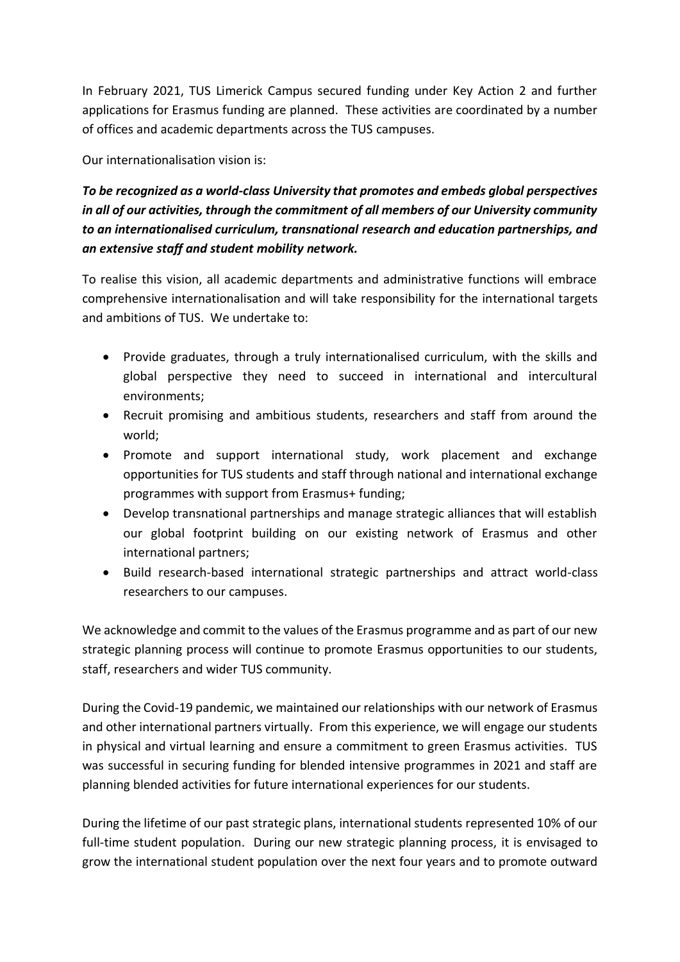In February 2021, TUS Limerick Campus secured funding under Key Action 2 and further applications for Erasmus funding are planned. These activities are coordinated by a number of offices and academic departments across the TUS campuses.

Our internationalisation vision is:

*To be recognized as a world-class University that promotes and embeds global perspectives in all of our activities, through the commitment of all members of our University community to an internationalised curriculum, transnational research and education partnerships, and an extensive staff and student mobility network.*

To realise this vision, all academic departments and administrative functions will embrace comprehensive internationalisation and will take responsibility for the international targets and ambitions of TUS. We undertake to:

- Provide graduates, through a truly internationalised curriculum, with the skills and global perspective they need to succeed in international and intercultural environments;
- Recruit promising and ambitious students, researchers and staff from around the world;
- Promote and support international study, work placement and exchange opportunities for TUS students and staff through national and international exchange programmes with support from Erasmus+ funding;
- Develop transnational partnerships and manage strategic alliances that will establish our global footprint building on our existing network of Erasmus and other international partners;
- Build research-based international strategic partnerships and attract world-class researchers to our campuses.

We acknowledge and commit to the values of the Erasmus programme and as part of our new strategic planning process will continue to promote Erasmus opportunities to our students, staff, researchers and wider TUS community.

During the Covid-19 pandemic, we maintained our relationships with our network of Erasmus and other international partners virtually. From this experience, we will engage our students in physical and virtual learning and ensure a commitment to green Erasmus activities. TUS was successful in securing funding for blended intensive programmes in 2021 and staff are planning blended activities for future international experiences for our students.

During the lifetime of our past strategic plans, international students represented 10% of our full-time student population. During our new strategic planning process, it is envisaged to grow the international student population over the next four years and to promote outward